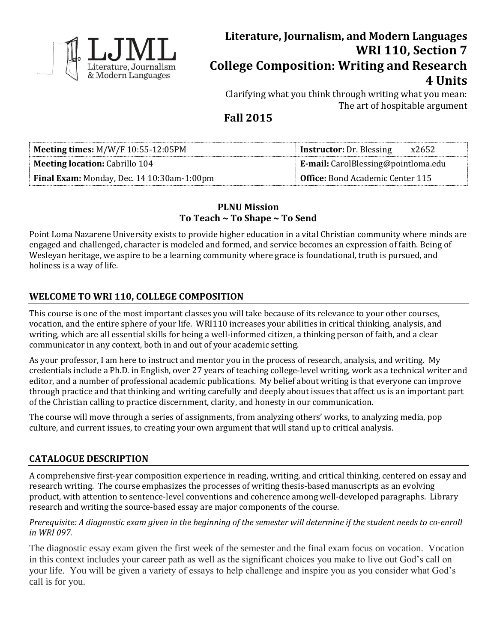

# **Literature, Journalism, and Modern Languages WRI 110, Section 7 College Composition: Writing and Research 4 Units**

Clarifying what you think through writing what you mean: The art of hospitable argument

## **Fall 2015**

| <b>Meeting times:</b> $M/W/F 10:55-12:05PM$       | <b>Instructor:</b> Dr. Blessing<br>x2652 |
|---------------------------------------------------|------------------------------------------|
| <b>Meeting location: Cabrillo 104</b>             | E-mail: CarolBlessing@pointloma.edu      |
| <b>Final Exam:</b> Monday, Dec. 14 10:30am-1:00pm | <b>Office:</b> Bond Academic Center 115  |

## **PLNU Mission To Teach ~ To Shape ~ To Send**

Point Loma Nazarene University exists to provide higher education in a vital Christian community where minds are engaged and challenged, character is modeled and formed, and service becomes an expression of faith. Being of Wesleyan heritage, we aspire to be a learning community where grace is foundational, truth is pursued, and holiness is a way of life.

## **WELCOME TO WRI 110, COLLEGE COMPOSITION**

This course is one of the most important classes you will take because of its relevance to your other courses, vocation, and the entire sphere of your life. WRI110 increases your abilities in critical thinking, analysis, and writing, which are all essential skills for being a well-informed citizen, a thinking person of faith, and a clear communicator in any context, both in and out of your academic setting.

As your professor, I am here to instruct and mentor you in the process of research, analysis, and writing. My credentials include a Ph.D. in English, over 27 years of teaching college-level writing, work as a technical writer and editor, and a number of professional academic publications. My belief about writing is that everyone can improve through practice and that thinking and writing carefully and deeply about issues that affect us is an important part of the Christian calling to practice discernment, clarity, and honesty in our communication.

The course will move through a series of assignments, from analyzing others' works, to analyzing media, pop culture, and current issues, to creating your own argument that will stand up to critical analysis.

## **CATALOGUE DESCRIPTION**

A comprehensive first-year composition experience in reading, writing, and critical thinking, centered on essay and research writing. The course emphasizes the processes of writing thesis-based manuscripts as an evolving product, with attention to sentence-level conventions and coherence among well-developed paragraphs. Library research and writing the source-based essay are major components of the course.

## *Prerequisite: A diagnostic exam given in the beginning of the semester will determine if the student needs to co-enroll in WRI 097.*

The diagnostic essay exam given the first week of the semester and the final exam focus on vocation. Vocation in this context includes your career path as well as the significant choices you make to live out God's call on your life. You will be given a variety of essays to help challenge and inspire you as you consider what God's call is for you.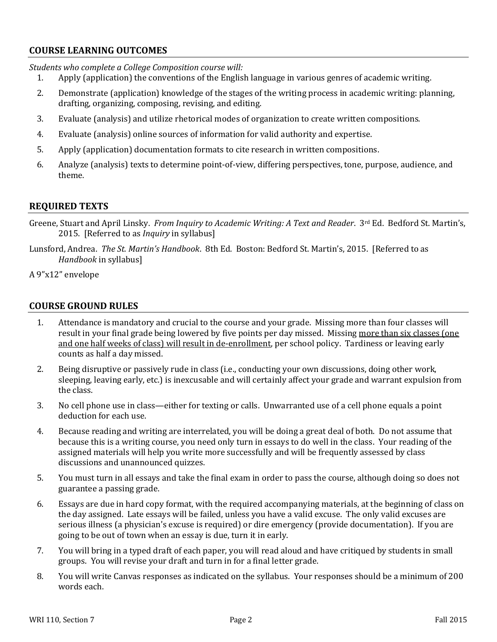## **COURSE LEARNING OUTCOMES**

*Students who complete a College Composition course will:*

- 1. Apply (application) the conventions of the English language in various genres of academic writing.
- 2. Demonstrate (application) knowledge of the stages of the writing process in academic writing: planning, drafting, organizing, composing, revising, and editing.
- 3. Evaluate (analysis) and utilize rhetorical modes of organization to create written compositions.
- 4. Evaluate (analysis) online sources of information for valid authority and expertise.
- 5. Apply (application) documentation formats to cite research in written compositions.
- 6. Analyze (analysis) texts to determine point-of-view, differing perspectives, tone, purpose, audience, and theme.

## **REQUIRED TEXTS**

- Greene, Stuart and April Linsky. *From Inquiry to Academic Writing: A Text and Reader*. 3<sup>rd</sup> Ed. Bedford St. Martin's, 2015. [Referred to as *Inquiry* in syllabus]
- Lunsford, Andrea. *The St. Martin's Handbook*. 8th Ed. Boston: Bedford St. Martin's, 2015. [Referred to as *Handbook* in syllabus]
- A 9"x12" envelope

## **COURSE GROUND RULES**

- 1. Attendance is mandatory and crucial to the course and your grade. Missing more than four classes will result in your final grade being lowered by five points per day missed. Missing more than six classes (one and one half weeks of class) will result in de-enrollment, per school policy. Tardiness or leaving early counts as half a day missed.
- 2. Being disruptive or passively rude in class (i.e., conducting your own discussions, doing other work, sleeping, leaving early, etc.) is inexcusable and will certainly affect your grade and warrant expulsion from the class.
- 3. No cell phone use in class—either for texting or calls. Unwarranted use of a cell phone equals a point deduction for each use.
- 4. Because reading and writing are interrelated, you will be doing a great deal of both. Do not assume that because this is a writing course, you need only turn in essays to do well in the class. Your reading of the assigned materials will help you write more successfully and will be frequently assessed by class discussions and unannounced quizzes.
- 5. You must turn in all essays and take the final exam in order to pass the course, although doing so does not guarantee a passing grade.
- 6. Essays are due in hard copy format, with the required accompanying materials, at the beginning of class on the day assigned. Late essays will be failed, unless you have a valid excuse. The only valid excuses are serious illness (a physician's excuse is required) or dire emergency (provide documentation). If you are going to be out of town when an essay is due, turn it in early.
- 7. You will bring in a typed draft of each paper, you will read aloud and have critiqued by students in small groups. You will revise your draft and turn in for a final letter grade.
- 8. You will write Canvas responses as indicated on the syllabus. Your responses should be a minimum of 200 words each.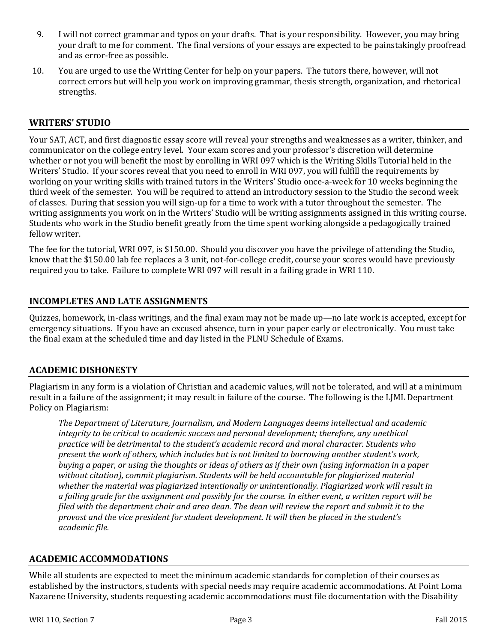- 9. I will not correct grammar and typos on your drafts. That is your responsibility. However, you may bring your draft to me for comment. The final versions of your essays are expected to be painstakingly proofread and as error-free as possible.
- 10. You are urged to use the Writing Center for help on your papers. The tutors there, however, will not correct errors but will help you work on improving grammar, thesis strength, organization, and rhetorical strengths.

## **WRITERS' STUDIO**

Your SAT, ACT, and first diagnostic essay score will reveal your strengths and weaknesses as a writer, thinker, and communicator on the college entry level. Your exam scores and your professor's discretion will determine whether or not you will benefit the most by enrolling in WRI 097 which is the Writing Skills Tutorial held in the Writers' Studio. If your scores reveal that you need to enroll in WRI 097, you will fulfill the requirements by working on your writing skills with trained tutors in the Writers' Studio once-a-week for 10 weeks beginning the third week of the semester. You will be required to attend an introductory session to the Studio the second week of classes. During that session you will sign-up for a time to work with a tutor throughout the semester. The writing assignments you work on in the Writers' Studio will be writing assignments assigned in this writing course. Students who work in the Studio benefit greatly from the time spent working alongside a pedagogically trained fellow writer.

The fee for the tutorial, WRI 097, is \$150.00. Should you discover you have the privilege of attending the Studio, know that the \$150.00 lab fee replaces a 3 unit, not-for-college credit, course your scores would have previously required you to take. Failure to complete WRI 097 will result in a failing grade in WRI 110.

## **INCOMPLETES AND LATE ASSIGNMENTS**

Quizzes, homework, in-class writings, and the final exam may not be made up—no late work is accepted, except for emergency situations. If you have an excused absence, turn in your paper early or electronically. You must take the final exam at the scheduled time and day listed in the PLNU Schedule of Exams.

#### **ACADEMIC DISHONESTY**

Plagiarism in any form is a violation of Christian and academic values, will not be tolerated, and will at a minimum result in a failure of the assignment; it may result in failure of the course. The following is the LJML Department Policy on Plagiarism:

*The Department of Literature, Journalism, and Modern Languages deems intellectual and academic integrity to be critical to academic success and personal development; therefore, any unethical practice will be detrimental to the student's academic record and moral character. Students who present the work of others, which includes but is not limited to borrowing another student's work, buying a paper, or using the thoughts or ideas of others as if their own (using information in a paper without citation), commit plagiarism. Students will be held accountable for plagiarized material whether the material was plagiarized intentionally or unintentionally. Plagiarized work will result in a failing grade for the assignment and possibly for the course. In either event, a written report will be filed with the department chair and area dean. The dean will review the report and submit it to the provost and the vice president for student development. It will then be placed in the student's academic file.*

#### **ACADEMIC ACCOMMODATIONS**

While all students are expected to meet the minimum academic standards for completion of their courses as established by the instructors, students with special needs may require academic accommodations. At Point Loma Nazarene University, students requesting academic accommodations must file documentation with the Disability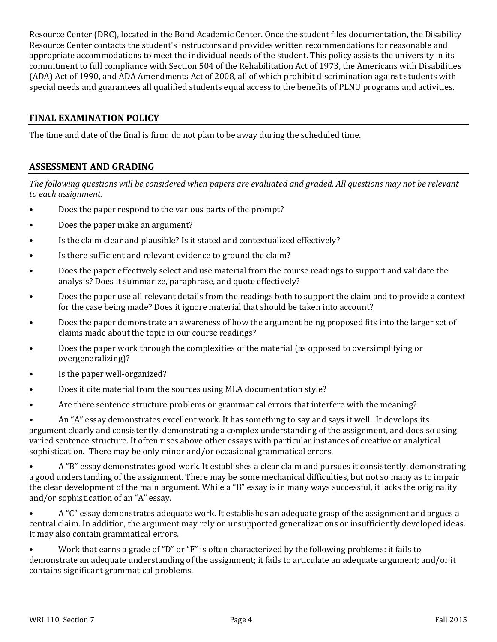Resource Center (DRC), located in the Bond Academic Center. Once the student files documentation, the Disability Resource Center contacts the student's instructors and provides written recommendations for reasonable and appropriate accommodations to meet the individual needs of the student. This policy assists the university in its commitment to full compliance with Section 504 of the Rehabilitation Act of 1973, the Americans with Disabilities (ADA) Act of 1990, and ADA Amendments Act of 2008, all of which prohibit discrimination against students with special needs and guarantees all qualified students equal access to the benefits of PLNU programs and activities.

## **FINAL EXAMINATION POLICY**

The time and date of the final is firm: do not plan to be away during the scheduled time.

## **ASSESSMENT AND GRADING**

*The following questions will be considered when papers are evaluated and graded. All questions may not be relevant to each assignment.*

- Does the paper respond to the various parts of the prompt?
- Does the paper make an argument?
- Is the claim clear and plausible? Is it stated and contextualized effectively?
- Is there sufficient and relevant evidence to ground the claim?
- Does the paper effectively select and use material from the course readings to support and validate the analysis? Does it summarize, paraphrase, and quote effectively?
- Does the paper use all relevant details from the readings both to support the claim and to provide a context for the case being made? Does it ignore material that should be taken into account?
- Does the paper demonstrate an awareness of how the argument being proposed fits into the larger set of claims made about the topic in our course readings?
- Does the paper work through the complexities of the material (as opposed to oversimplifying or overgeneralizing)?
- Is the paper well-organized?
- Does it cite material from the sources using MLA documentation style?
- Are there sentence structure problems or grammatical errors that interfere with the meaning?

• An "A" essay demonstrates excellent work. It has something to say and says it well. It develops its argument clearly and consistently, demonstrating a complex understanding of the assignment, and does so using varied sentence structure. It often rises above other essays with particular instances of creative or analytical sophistication. There may be only minor and/or occasional grammatical errors.

• A "B" essay demonstrates good work. It establishes a clear claim and pursues it consistently, demonstrating a good understanding of the assignment. There may be some mechanical difficulties, but not so many as to impair the clear development of the main argument. While a "B" essay is in many ways successful, it lacks the originality and/or sophistication of an "A" essay.

• A "C" essay demonstrates adequate work. It establishes an adequate grasp of the assignment and argues a central claim. In addition, the argument may rely on unsupported generalizations or insufficiently developed ideas. It may also contain grammatical errors.

• Work that earns a grade of "D" or "F" is often characterized by the following problems: it fails to demonstrate an adequate understanding of the assignment; it fails to articulate an adequate argument; and/or it contains significant grammatical problems.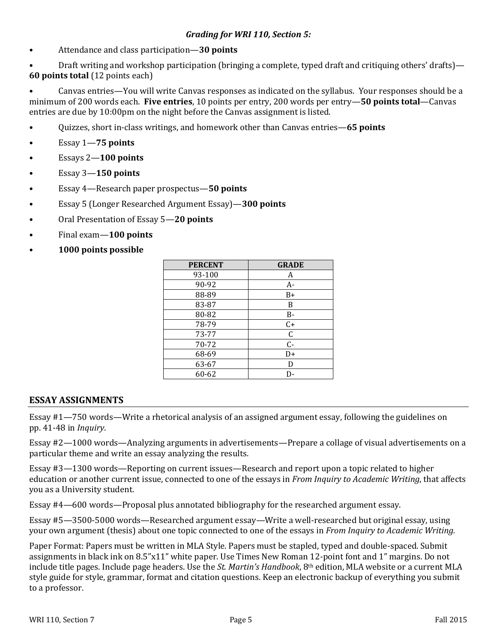• Attendance and class participation—**30 points**

• Draft writing and workshop participation (bringing a complete, typed draft and critiquing others' drafts)— **60 points total** (12 points each)

• Canvas entries—You will write Canvas responses as indicated on the syllabus. Your responses should be a minimum of 200 words each. **Five entries**, 10 points per entry, 200 words per entry—**50 points total**—Canvas entries are due by 10:00pm on the night before the Canvas assignment is listed.

- Quizzes, short in-class writings, and homework other than Canvas entries—**65 points**
- Essay 1—**75 points**
- Essays 2—**100 points**
- Essay 3—**150 points**
- Essay 4—Research paper prospectus—**50 points**
- Essay 5 (Longer Researched Argument Essay)—**300 points**
- Oral Presentation of Essay 5—**20 points**
- Final exam—**100 points**
- **1000 points possible**

| <b>PERCENT</b> | <b>GRADE</b> |
|----------------|--------------|
| 93-100         | A            |
| 90-92          | A-           |
| 88-89          | $B+$         |
| 83-87          | B            |
| 80-82          | <b>B-</b>    |
| 78-79          | $C+$         |
| 73-77          | $\mathsf C$  |
| 70-72          | $C -$        |
| 68-69          | D+           |
| 63-67          | D            |
| 60-62          |              |

#### **ESSAY ASSIGNMENTS**

Essay #1—750 words—Write a rhetorical analysis of an assigned argument essay, following the guidelines on pp. 41-48 in *Inquiry*.

Essay #2—1000 words—Analyzing arguments in advertisements—Prepare a collage of visual advertisements on a particular theme and write an essay analyzing the results.

Essay #3—1300 words—Reporting on current issues—Research and report upon a topic related to higher education or another current issue, connected to one of the essays in *From Inquiry to Academic Writing*, that affects you as a University student.

Essay #4—600 words—Proposal plus annotated bibliography for the researched argument essay.

Essay #5—3500-5000 words—Researched argument essay—Write a well-researched but original essay, using your own argument (thesis) about one topic connected to one of the essays in *From Inquiry to Academic Writing.*

Paper Format: Papers must be written in MLA Style. Papers must be stapled, typed and double-spaced. Submit assignments in black ink on 8.5"x11" white paper. Use Times New Roman 12-point font and 1" margins. Do not include title pages. Include page headers. Use the *St. Martin's Handbook*, 8th edition, MLA website or a current MLA style guide for style, grammar, format and citation questions. Keep an electronic backup of everything you submit to a professor.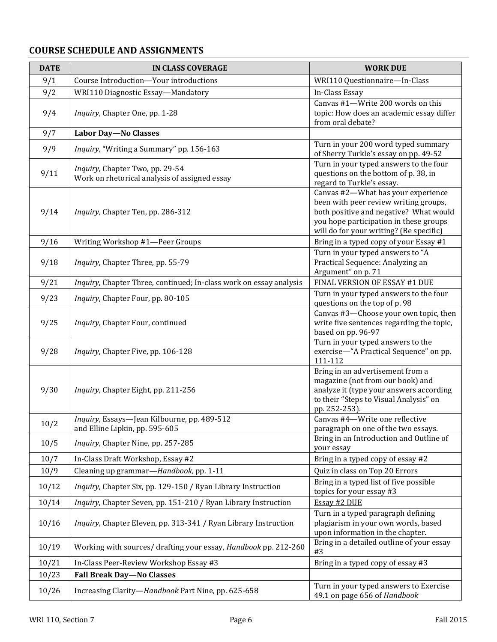## **COURSE SCHEDULE AND ASSIGNMENTS**

| <b>DATE</b> | <b>IN CLASS COVERAGE</b>                                                         | <b>WORK DUE</b>                                                                                                                                                                                            |
|-------------|----------------------------------------------------------------------------------|------------------------------------------------------------------------------------------------------------------------------------------------------------------------------------------------------------|
| 9/1         | Course Introduction-Your introductions                                           | WRI110 Questionnaire-In-Class                                                                                                                                                                              |
| 9/2         | WRI110 Diagnostic Essay-Mandatory                                                | In-Class Essay                                                                                                                                                                                             |
| 9/4         | Inquiry, Chapter One, pp. 1-28                                                   | Canvas #1-Write 200 words on this<br>topic: How does an academic essay differ<br>from oral debate?                                                                                                         |
| 9/7         | <b>Labor Day-No Classes</b>                                                      |                                                                                                                                                                                                            |
| 9/9         | Inquiry, "Writing a Summary" pp. 156-163                                         | Turn in your 200 word typed summary<br>of Sherry Turkle's essay on pp. 49-52                                                                                                                               |
| 9/11        | Inquiry, Chapter Two, pp. 29-54<br>Work on rhetorical analysis of assigned essay | Turn in your typed answers to the four<br>questions on the bottom of p. 38, in<br>regard to Turkle's essay.                                                                                                |
| 9/14        | Inquiry, Chapter Ten, pp. 286-312                                                | Canvas #2-What has your experience<br>been with peer review writing groups,<br>both positive and negative? What would<br>you hope participation in these groups<br>will do for your writing? (Be specific) |
| 9/16        | Writing Workshop #1-Peer Groups                                                  | Bring in a typed copy of your Essay #1                                                                                                                                                                     |
| 9/18        | Inquiry, Chapter Three, pp. 55-79                                                | Turn in your typed answers to "A<br>Practical Sequence: Analyzing an<br>Argument" on p. 71                                                                                                                 |
| 9/21        | Inquiry, Chapter Three, continued; In-class work on essay analysis               | FINAL VERSION OF ESSAY #1 DUE                                                                                                                                                                              |
| 9/23        | Inquiry, Chapter Four, pp. 80-105                                                | Turn in your typed answers to the four<br>questions on the top of p. 98                                                                                                                                    |
| 9/25        | Inquiry, Chapter Four, continued                                                 | Canvas #3-Choose your own topic, then<br>write five sentences regarding the topic,<br>based on pp. 96-97                                                                                                   |
| 9/28        | Inquiry, Chapter Five, pp. 106-128                                               | Turn in your typed answers to the<br>exercise-"A Practical Sequence" on pp.<br>111-112                                                                                                                     |
| 9/30        | Inquiry, Chapter Eight, pp. 211-256                                              | Bring in an advertisement from a<br>magazine (not from our book) and<br>analyze it (type your answers according<br>to their "Steps to Visual Analysis" on<br>pp. 252-253).                                 |
| 10/2        | Inquiry, Essays-Jean Kilbourne, pp. 489-512<br>and Elline Lipkin, pp. 595-605    | Canvas #4-Write one reflective<br>paragraph on one of the two essays.                                                                                                                                      |
| 10/5        | Inquiry, Chapter Nine, pp. 257-285                                               | Bring in an Introduction and Outline of<br>your essay                                                                                                                                                      |
| 10/7        | In-Class Draft Workshop, Essay #2                                                | Bring in a typed copy of essay #2                                                                                                                                                                          |
| 10/9        | Cleaning up grammar-Handbook, pp. 1-11                                           | Quiz in class on Top 20 Errors                                                                                                                                                                             |
| 10/12       | Inquiry, Chapter Six, pp. 129-150 / Ryan Library Instruction                     | Bring in a typed list of five possible<br>topics for your essay #3                                                                                                                                         |
| 10/14       | Inquiry, Chapter Seven, pp. 151-210 / Ryan Library Instruction                   | Essay #2 DUE                                                                                                                                                                                               |
| 10/16       | Inquiry, Chapter Eleven, pp. 313-341 / Ryan Library Instruction                  | Turn in a typed paragraph defining<br>plagiarism in your own words, based<br>upon information in the chapter.                                                                                              |
| 10/19       | Working with sources/ drafting your essay, Handbook pp. 212-260                  | Bring in a detailed outline of your essay<br>#3                                                                                                                                                            |
| 10/21       | In-Class Peer-Review Workshop Essay #3                                           | Bring in a typed copy of essay #3                                                                                                                                                                          |
| 10/23       | <b>Fall Break Day-No Classes</b>                                                 |                                                                                                                                                                                                            |
| 10/26       | Increasing Clarity-Handbook Part Nine, pp. 625-658                               | Turn in your typed answers to Exercise<br>49.1 on page 656 of Handbook                                                                                                                                     |